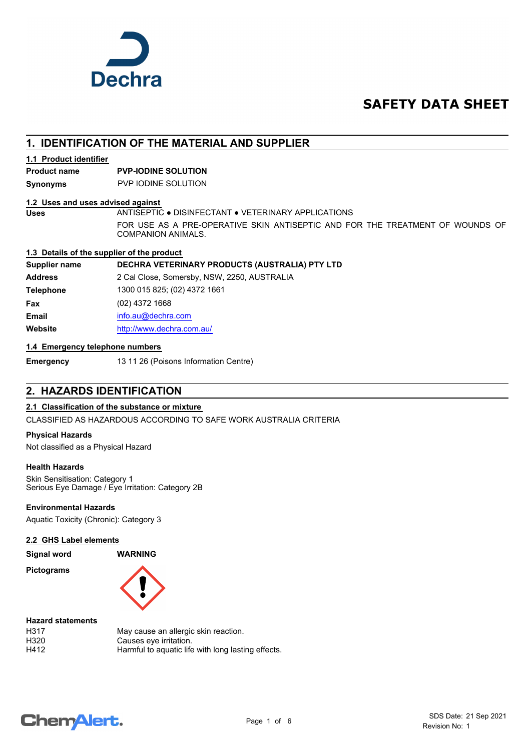

# **SAFETY DATA SHEET**

# **1. IDENTIFICATION OF THE MATERIAL AND SUPPLIER**

### **1.1 Product identifier**

# **Product name PVP-IODINE SOLUTION**

**Synonyms** PVP IODINE SOLUTION

### **1.2 Uses and uses advised against**

**Uses** ANTISEPTIC ● DISINFECTANT ● VETERINARY APPLICATIONS FOR USE AS A PRE-OPERATIVE SKIN ANTISEPTIC AND FOR THE TREATMENT OF WOUNDS OF COMPANION ANIMALS.

### **1.3 Details of the supplier of the product**

## **Supplier name DECHRA VETERINARY PRODUCTS (AUSTRALIA) PTY LTD**

**Address** 2 Cal Close, Somersby, NSW, 2250, AUSTRALIA **Telephone** 1300 015 825; (02) 4372 1661 **Fax** (02) 4372 1668 **Email** [info.au@](mailto:info.au@dechra.com)dechra.com **Website** [http://www.](http://www.dechra.com.au/)dechra.com.au/

### **1.4 Emergency telephone numbers**

**Emergency** 13 11 26 (Poisons Information Centre)

# **2. HAZARDS IDENTIFICATION**

## **2.1 Classification of the substance or mixture**

CLASSIFIED AS HAZARDOUS ACCORDING TO SAFE WORK AUSTRALIA CRITERIA

### **Physical Hazards**

Not classified as a Physical Hazard

### **Health Hazards**

Skin Sensitisation: Category 1 Serious Eye Damage / Eye Irritation: Category 2B

### **Environmental Hazards**

Aquatic Toxicity (Chronic): Category 3

### **2.2 GHS Label elements**

**Signal word WARNING**

**Pictograms**



### **Hazard statements**

| H317 | May cause an allergic skin reaction.               |
|------|----------------------------------------------------|
| H320 | Causes eye irritation.                             |
| H412 | Harmful to aquatic life with long lasting effects. |

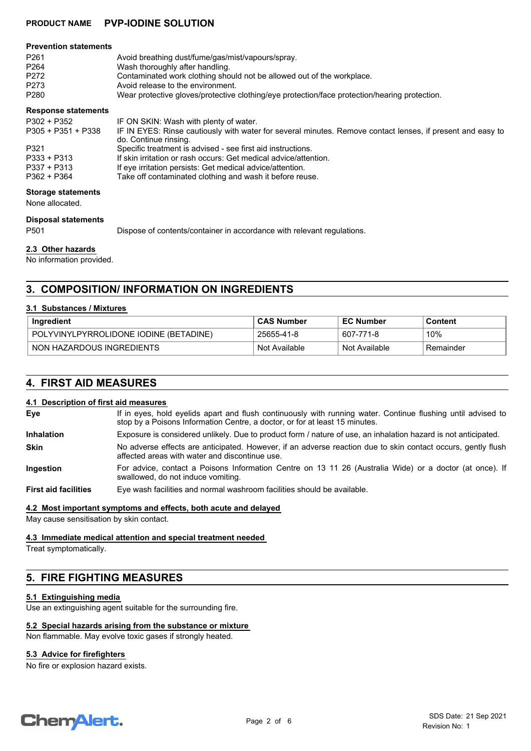# **PRODUCT NAME PVP-IODINE SOLUTION**

#### **Prevention statements**

| P <sub>261</sub> | Avoid breathing dust/fume/gas/mist/vapours/spray.                                             |
|------------------|-----------------------------------------------------------------------------------------------|
| P264             | Wash thoroughly after handling.                                                               |
| P272             | Contaminated work clothing should not be allowed out of the workplace.                        |
| P273             | Avoid release to the environment.                                                             |
| P280             | Wear protective gloves/protective clothing/eye protection/face protection/hearing protection. |
|                  |                                                                                               |

### **Response statements**

| P302 + P352        | IF ON SKIN: Wash with plenty of water.                                                                     |
|--------------------|------------------------------------------------------------------------------------------------------------|
| P305 + P351 + P338 | IF IN EYES: Rinse cautiously with water for several minutes. Remove contact lenses, if present and easy to |
|                    | do. Continue rinsing.                                                                                      |
| P321               | Specific treatment is advised - see first aid instructions.                                                |
| P333 + P313        | If skin irritation or rash occurs: Get medical advice/attention.                                           |
| P337 + P313        | If eye irritation persists: Get medical advice/attention.                                                  |
| P362 + P364        | Take off contaminated clothing and wash it before reuse.                                                   |

#### **Storage statements**

None allocated.

## **Disposal statements**

P501 Dispose of contents/container in accordance with relevant regulations.

## **2.3 Other hazards**

No information provided.

# **3. COMPOSITION/ INFORMATION ON INGREDIENTS**

### **3.1 Substances / Mixtures**

| Ingredient                             | <b>CAS Number</b> | <b>EC Number</b> | Content    |
|----------------------------------------|-------------------|------------------|------------|
| POLYVINYLPYRROLIDONE IODINE (BETADINE) | 25655-41-8        | 607-771-8        | 10%        |
| NON HAZARDOUS INGREDIENTS              | Not Available     | Not Available    | ⊦Remainder |

# **4. FIRST AID MEASURES**

### **4.1 Description of first aid measures**

| Eye                         | If in eyes, hold eyelids apart and flush continuously with running water. Continue flushing until advised to<br>stop by a Poisons Information Centre, a doctor, or for at least 15 minutes. |
|-----------------------------|---------------------------------------------------------------------------------------------------------------------------------------------------------------------------------------------|
| <b>Inhalation</b>           | Exposure is considered unlikely. Due to product form / nature of use, an inhalation hazard is not anticipated.                                                                              |
| <b>Skin</b>                 | No adverse effects are anticipated. However, if an adverse reaction due to skin contact occurs, gently flush<br>affected areas with water and discontinue use.                              |
| Ingestion                   | For advice, contact a Poisons Information Centre on 13 11 26 (Australia Wide) or a doctor (at once). If<br>swallowed, do not induce vomiting.                                               |
| <b>First aid facilities</b> | Eye wash facilities and normal washroom facilities should be available.                                                                                                                     |

### **4.2 Most important symptoms and effects, both acute and delayed**

May cause sensitisation by skin contact.

### **4.3 Immediate medical attention and special treatment needed**

Treat symptomatically.

# **5. FIRE FIGHTING MEASURES**

### **5.1 Extinguishing media**

Use an extinguishing agent suitable for the surrounding fire.

### **5.2 Special hazards arising from the substance or mixture**

Non flammable. May evolve toxic gases if strongly heated.

### **5.3 Advice for firefighters**

No fire or explosion hazard exists.

# **ChemAlert.**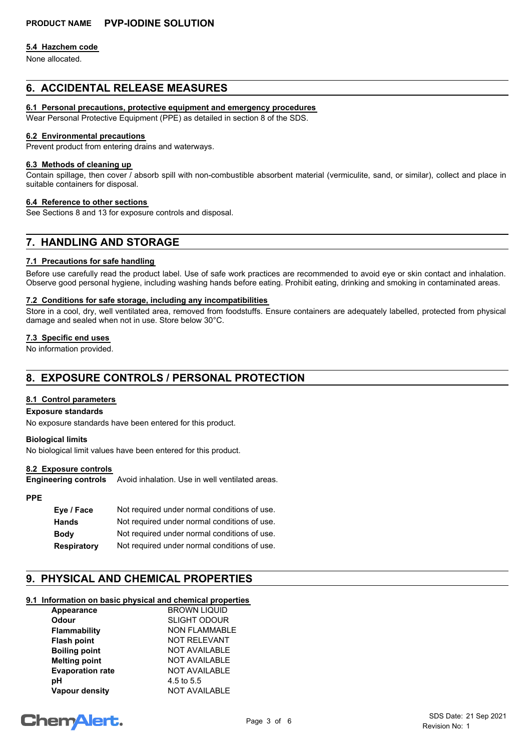### **5.4 Hazchem code**

None allocated.

# **6. ACCIDENTAL RELEASE MEASURES**

### **6.1 Personal precautions, protective equipment and emergency procedures**

Wear Personal Protective Equipment (PPE) as detailed in section 8 of the SDS.

### **6.2 Environmental precautions**

Prevent product from entering drains and waterways.

### **6.3 Methods of cleaning up**

Contain spillage, then cover / absorb spill with non-combustible absorbent material (vermiculite, sand, or similar), collect and place in suitable containers for disposal.

### **6.4 Reference to other sections**

See Sections 8 and 13 for exposure controls and disposal.

# **7. HANDLING AND STORAGE**

### **7.1 Precautions for safe handling**

Before use carefully read the product label. Use of safe work practices are recommended to avoid eye or skin contact and inhalation. Observe good personal hygiene, including washing hands before eating. Prohibit eating, drinking and smoking in contaminated areas.

### **7.2 Conditions for safe storage, including any incompatibilities**

Store in a cool, dry, well ventilated area, removed from foodstuffs. Ensure containers are adequately labelled, protected from physical damage and sealed when not in use. Store below 30°C.

### **7.3 Specific end uses**

No information provided.

# **8. EXPOSURE CONTROLS / PERSONAL PROTECTION**

### **8.1 Control parameters**

### **Exposure standards**

No exposure standards have been entered for this product.

### **Biological limits**

No biological limit values have been entered for this product.

### **8.2 Exposure controls**

Avoid inhalation. Use in well ventilated areas. **Engineering controls**

# **PPE**

| Eye / Face         | Not required under normal conditions of use. |
|--------------------|----------------------------------------------|
| <b>Hands</b>       | Not required under normal conditions of use. |
| <b>Body</b>        | Not required under normal conditions of use. |
| <b>Respiratory</b> | Not required under normal conditions of use. |

# **9. PHYSICAL AND CHEMICAL PROPERTIES**

# **9.1 Information on basic physical and chemical properties**

| Appearance              | <b>BROWN LIQUID</b>  |
|-------------------------|----------------------|
| <b>Odour</b>            | <b>SLIGHT ODOUR</b>  |
| <b>Flammability</b>     | <b>NON FLAMMABLE</b> |
| <b>Flash point</b>      | <b>NOT RELEVANT</b>  |
| <b>Boiling point</b>    | <b>NOT AVAILABLE</b> |
| <b>Melting point</b>    | <b>NOT AVAILABLE</b> |
| <b>Evaporation rate</b> | <b>NOT AVAILABLE</b> |
| pН                      | 4.5 to 5.5           |
| <b>Vapour density</b>   | <b>NOT AVAILABLE</b> |

# **ChemAlert.**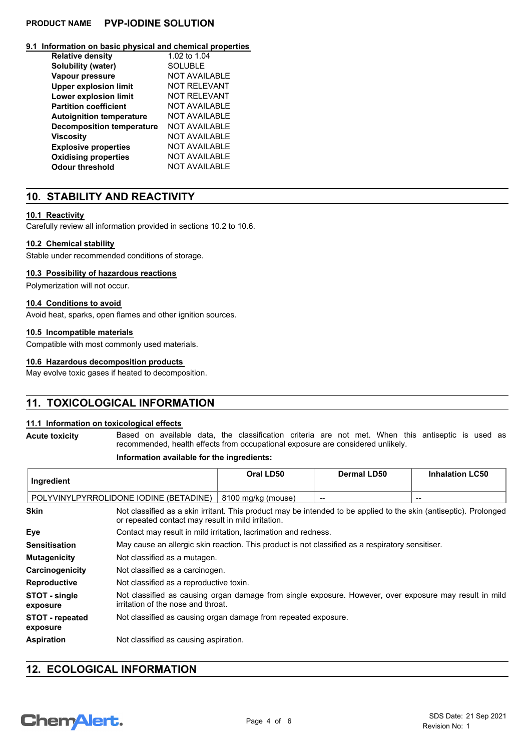# **PRODUCT NAME PVP-IODINE SOLUTION**

### **9.1 Information on basic physical and chemical properties**

| <b>Relative density</b>          | 1.02 to 1.04         |
|----------------------------------|----------------------|
| Solubility (water)               | SOI UBI F            |
| Vapour pressure                  | <b>NOT AVAILABLE</b> |
| <b>Upper explosion limit</b>     | <b>NOT RELEVANT</b>  |
| <b>Lower explosion limit</b>     | NOT RFI FVANT        |
| <b>Partition coefficient</b>     | NOT AVAII ABI F      |
| <b>Autoignition temperature</b>  | <b>NOT AVAILABLE</b> |
| <b>Decomposition temperature</b> | <b>NOT AVAILABLE</b> |
| <b>Viscosity</b>                 | NOT AVAII ABI F      |
| <b>Explosive properties</b>      | <b>NOT AVAILABLE</b> |
| <b>Oxidising properties</b>      | NOT AVAILABLE        |
| <b>Odour threshold</b>           | <b>NOT AVAILABLE</b> |

# **10. STABILITY AND REACTIVITY**

### **10.1 Reactivity**

Carefully review all information provided in sections 10.2 to 10.6.

### **10.2 Chemical stability**

Stable under recommended conditions of storage.

### **10.3 Possibility of hazardous reactions**

Polymerization will not occur.

### **10.4 Conditions to avoid**

Avoid heat, sparks, open flames and other ignition sources.

### **10.5 Incompatible materials**

Compatible with most commonly used materials.

### **10.6 Hazardous decomposition products**

May evolve toxic gases if heated to decomposition.

# **11. TOXICOLOGICAL INFORMATION**

### **11.1 Information on toxicological effects**

Based on available data, the classification criteria are not met. When this antiseptic is used as recommended, health effects from occupational exposure are considered unlikely. **Acute toxicity**

### **Information available for the ingredients:**

| Ingredient                             |                                                                                                                                                                         | Oral LD50                                                                                        | <b>Dermal LD50</b> | <b>Inhalation LC50</b> |
|----------------------------------------|-------------------------------------------------------------------------------------------------------------------------------------------------------------------------|--------------------------------------------------------------------------------------------------|--------------------|------------------------|
| POLYVINYLPYRROLIDONE IODINE (BETADINE) |                                                                                                                                                                         | 8100 mg/kg (mouse)                                                                               |                    | $- -$                  |
| <b>Skin</b>                            | Not classified as a skin irritant. This product may be intended to be applied to the skin (antiseptic). Prolonged<br>or repeated contact may result in mild irritation. |                                                                                                  |                    |                        |
| Eye                                    |                                                                                                                                                                         | Contact may result in mild irritation, lacrimation and redness.                                  |                    |                        |
| <b>Sensitisation</b>                   |                                                                                                                                                                         | May cause an allergic skin reaction. This product is not classified as a respiratory sensitiser. |                    |                        |
| <b>Mutagenicity</b>                    |                                                                                                                                                                         | Not classified as a mutagen.                                                                     |                    |                        |
| Carcinogenicity                        |                                                                                                                                                                         | Not classified as a carcinogen.                                                                  |                    |                        |
| <b>Reproductive</b>                    | Not classified as a reproductive toxin.                                                                                                                                 |                                                                                                  |                    |                        |
| STOT - single<br>exposure              | Not classified as causing organ damage from single exposure. However, over exposure may result in mild<br>irritation of the nose and throat.                            |                                                                                                  |                    |                        |
| <b>STOT - repeated</b><br>exposure     |                                                                                                                                                                         | Not classified as causing organ damage from repeated exposure.                                   |                    |                        |
| <b>Aspiration</b>                      | Not classified as causing aspiration.                                                                                                                                   |                                                                                                  |                    |                        |

# **12. ECOLOGICAL INFORMATION**

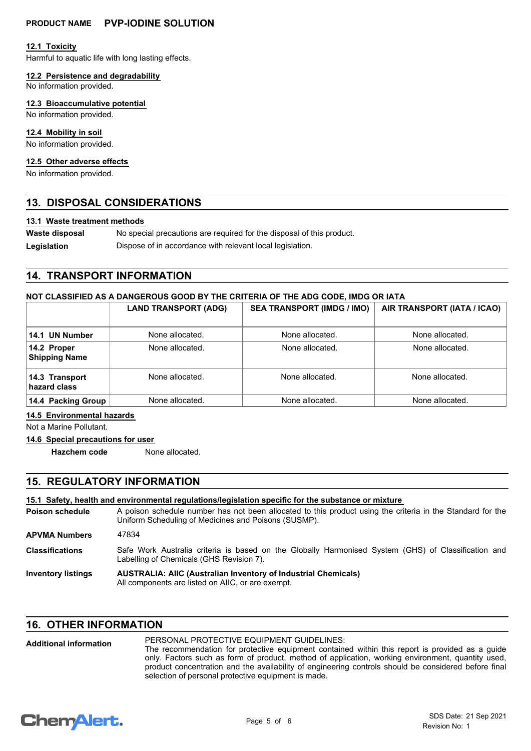### **12.1 Toxicity**

Harmful to aquatic life with long lasting effects.

**12.2 Persistence and degradability**

No information provided.

### **12.3 Bioaccumulative potential**

No information provided.

### **12.4 Mobility in soil**

No information provided.

### **12.5 Other adverse effects**

No information provided.

# **13. DISPOSAL CONSIDERATIONS**

### **13.1 Waste treatment methods**

No special precautions are required for the disposal of this product. **Waste disposal** Legislation **Dispose of in accordance with relevant local legislation.** 

# **14. TRANSPORT INFORMATION**

### **NOT CLASSIFIED AS A DANGEROUS GOOD BY THE CRITERIA OF THE ADG CODE, IMDG OR IATA**

|                                     | <b>LAND TRANSPORT (ADG)</b> | <b>SEA TRANSPORT (IMDG / IMO)</b> | AIR TRANSPORT (IATA / ICAO) |
|-------------------------------------|-----------------------------|-----------------------------------|-----------------------------|
| 14.1 UN Number                      | None allocated.             | None allocated.                   | None allocated.             |
| 14.2 Proper<br><b>Shipping Name</b> | None allocated.             | None allocated.                   | None allocated.             |
| 14.3 Transport<br>hazard class      | None allocated.             | None allocated.                   | None allocated.             |
| 14.4 Packing Group                  | None allocated.             | None allocated.                   | None allocated.             |

### **14.5 Environmental hazards**

Not a Marine Pollutant.

### **14.6 Special precautions for user**

**Hazchem code** None allocated.

# **15. REGULATORY INFORMATION**

|                           | 15.1 Safety, health and environmental requlations/legislation specific for the substance or mixture                                                                |  |
|---------------------------|--------------------------------------------------------------------------------------------------------------------------------------------------------------------|--|
| Poison schedule           | A poison schedule number has not been allocated to this product using the criteria in the Standard for the<br>Uniform Scheduling of Medicines and Poisons (SUSMP). |  |
| APVMA Numbers             | 47834                                                                                                                                                              |  |
| <b>Classifications</b>    | Safe Work Australia criteria is based on the Globally Harmonised System (GHS) of Classification and<br>Labelling of Chemicals (GHS Revision 7).                    |  |
| <b>Inventory listings</b> | <b>AUSTRALIA: AIIC (Australian Inventory of Industrial Chemicals)</b><br>All components are listed on AIIC, or are exempt.                                         |  |

# **16. OTHER INFORMATION**

#### PERSONAL PROTECTIVE EQUIPMENT GUIDELINES: The recommendation for protective equipment contained within this report is provided as a guide only. Factors such as form of product, method of application, working environment, quantity used, product concentration and the availability of engineering controls should be considered before final selection of personal protective equipment is made. **Additional information**

# **ChemAlert.**